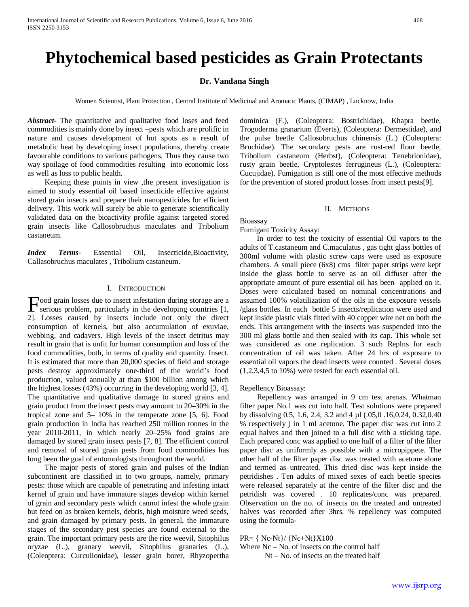# **Phytochemical based pesticides as Grain Protectants**

# **Dr. Vandana Singh**

Women Scientist, Plant Protection , Central Institute of Medicinal and Aromatic Plants, (CIMAP) , Lucknow, India

*Abstract***-** The quantitative and qualitative food loses and feed commodities is mainly done by insect –pests which are prolific in nature and causes development of hot spots as a result of metabolic heat by developing insect populations, thereby create favourable conditions to various pathogens. Thus they cause two way spoilage of food commodities resulting into economic loss as well as loss to public health.

 Keeping these points in view ,the present investigation is aimed to study essential oil based insecticide effective against stored grain insects and prepare their nanopesticides for efficient delivery. This work will surely be able to generate scientifically validated data on the bioactivity profile against targeted stored grain insects like Callosobruchus maculates and Tribolium castaneum.

*Index Terms*- Essential Oil, Insecticide,Bioactivity, Callasobruchus maculates , Tribolium castaneum.

#### I. INTRODUCTION

ood grain losses due to insect infestation during storage are a Food grain losses due to insect infestation during storage are a serious problem, particularly in the developing countries [1, 2]. Losses caused by insects include not only the direct consumption of kernels, but also accumulation of exuviae, webbing, and cadavers. High levels of the insect detritus may result in grain that is unfit for human consumption and loss of the food commodities, both, in terms of quality and quantity. Insect. It is estimated that more than 20,000 species of field and storage pests destroy approximately one-third of the world's food production, valued annually at than \$100 billion among which the highest losses (43%) occurring in the developing world [3, 4]. The quantitative and qualitative damage to stored grains and grain product from the insect pests may amount to 20–30% in the tropical zone and 5– 10% in the temperate zone [5, 6]. Food grain production in India has reached 250 million tonnes in the year 2010-2011, in which nearly 20–25% food grains are damaged by stored grain insect pests [7, 8]. The efficient control and removal of stored grain pests from food commodities has long been the goal of entomologists throughout the world.

 The major pests of stored grain and pulses of the Indian subcontinent are classified in to two groups, namely, primary pests: those which are capable of penetrating and infesting intact kernel of grain and have immature stages develop within kernel of grain and secondary pests which cannot infest the whole grain but feed on as broken kernels, debris, high moisture weed seeds, and grain damaged by primary pests. In general, the immature stages of the secondary pest species are found external to the grain. The important primary pests are the rice weevil, Sitophilus oryzae (L.), granary weevil, Sitophilus granaries (L.), (Coleoptera: Curculionidae), lesser grain borer, Rhyzopertha dominica (F.), (Coleoptera: Bostrichidae), Khapra beetle, Trogoderma granarium (Everts), (Coleoptera: Dermestidae), and the pulse beetle Callosobruchus chinensis (L.) (Coleoptera: Bruchidae). The secondary pests are rust-red flour beetle, Tribolium castaneum (Herbst), (Coleoptera: Tenebrionidae), rusty grain beetle, Cryptolestes ferrugineus (L.), (Coleoptera: Cucujidae). Fumigation is still one of the most effective methods for the prevention of stored product losses from insect pests[9].

#### II. METHODS

Bioassay

Fumigant Toxicity Assay:

 In order to test the toxicity of essential Oil vapors to the adults of T.castaneum and C.maculatus , gas tight glass bottles of 300ml volume with plastic screw caps were used as exposure chambers. A small piece (6x8) cms filter paper strips were kept inside the glass bottle to serve as an oil diffuser after the appropriate amount of pure essential oil has been applied on it. Doses were calculated based on nominal concentrations and assumed 100% volatilization of the oils in the exposure vessels /glass bottles. In each bottle 5 insects/replication were used and kept inside plastic vials fitted with 40 copper wire net on both the ends. This arrangement with the insects was suspended into the 300 ml glass bottle and then sealed with its cap. This whole set was considered as one replication. 3 such Replns for each concentration of oil was taken. After 24 hrs of exposure to essential oil vapors the dead insects were counted . Several doses (1,2,3,4,5 to 10%) were tested for each essential oil.

# Repellency Bioassay:

 Repellency was arranged in 9 cm test arenas. Whatman filter paper No.1 was cut into half. Test solutions were prepared by dissolving 0.5, 1.6, 2.4, 3.2 and 4 µl (.05,0 .16,0.24, 0.32,0.40 % respectively ) in 1 ml acetone. The paper disc was cut into 2 equal halves and then joined to a full disc with a sticking tape. Each prepared conc was applied to one half of a filter of the filter paper disc as uniformly as possible with a micropippete. The other half of the filter paper disc was treated with acetone alone and termed as untreated. This dried disc was kept inside the petridishes . Ten adults of mixed sexes of each beetle species were released separately at the centre of the filter disc and the petridish was covered . 10 replicates/conc was prepared. Observation on the no. of insects on the treated and untreated halves was recorded after 3hrs. % repellency was computed using the formula-

 $PR = \{ Nc-Nt \} / \{ Nc+Nt \} X100$ 

Where  $Nc - No$  of insects on the control half Nt – No. of insects on the treated half